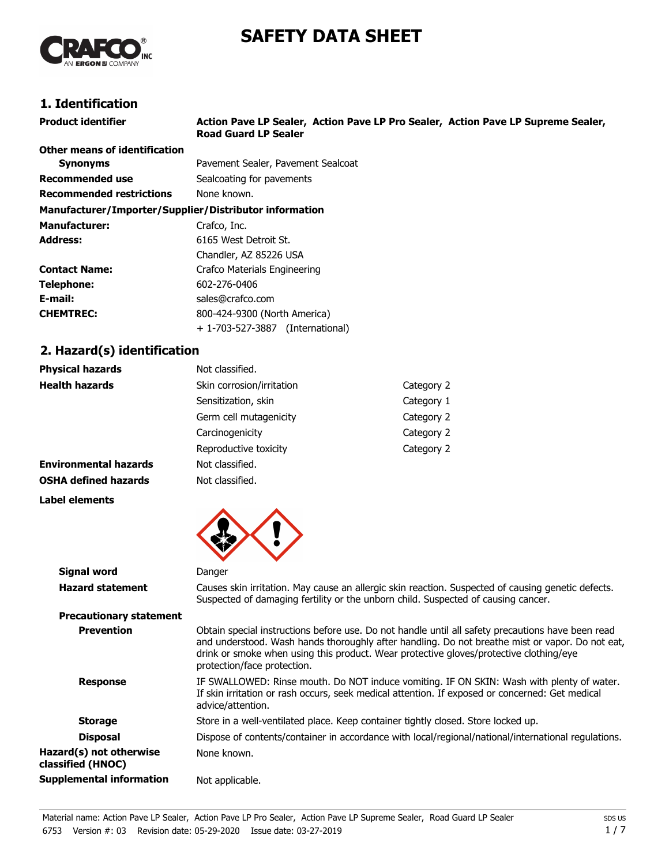# **SAFETY DATA SHEET**



# **1. Identification**

| <b>Product identifier</b>                              | Action Pave LP Sealer, Action Pave LP Pro Sealer, Action Pave LP Supreme Sealer,<br><b>Road Guard LP Sealer</b> |
|--------------------------------------------------------|-----------------------------------------------------------------------------------------------------------------|
| Other means of identification                          |                                                                                                                 |
| <b>Synonyms</b>                                        | Pavement Sealer, Pavement Sealcoat                                                                              |
| Recommended use                                        | Sealcoating for pavements                                                                                       |
| <b>Recommended restrictions</b>                        | None known.                                                                                                     |
| Manufacturer/Importer/Supplier/Distributor information |                                                                                                                 |
| <b>Manufacturer:</b>                                   | Crafco, Inc.                                                                                                    |
| <b>Address:</b>                                        | 6165 West Detroit St.                                                                                           |
|                                                        | Chandler, AZ 85226 USA                                                                                          |
| <b>Contact Name:</b>                                   | Crafco Materials Engineering                                                                                    |
| Telephone:                                             | 602-276-0406                                                                                                    |
| E-mail:                                                | sales@crafco.com                                                                                                |
| <b>CHEMTREC:</b>                                       | 800-424-9300 (North America)                                                                                    |
|                                                        | + 1-703-527-3887 (International)                                                                                |

# **2. Hazard(s) identification**

**Label elements**

| <b>Physical hazards</b>      | Not classified.           |            |
|------------------------------|---------------------------|------------|
| <b>Health hazards</b>        | Skin corrosion/irritation | Category 2 |
|                              | Sensitization, skin       | Category 1 |
|                              | Germ cell mutagenicity    | Category 2 |
|                              | Carcinogenicity           | Category 2 |
|                              | Reproductive toxicity     | Category 2 |
| <b>Environmental hazards</b> | Not classified.           |            |
| <b>OSHA defined hazards</b>  | Not classified.           |            |



| <b>Signal word</b>                           | Danger                                                                                                                                                                                                                                                                                                                        |
|----------------------------------------------|-------------------------------------------------------------------------------------------------------------------------------------------------------------------------------------------------------------------------------------------------------------------------------------------------------------------------------|
| <b>Hazard statement</b>                      | Causes skin irritation. May cause an allergic skin reaction. Suspected of causing genetic defects.<br>Suspected of damaging fertility or the unborn child. Suspected of causing cancer.                                                                                                                                       |
| <b>Precautionary statement</b>               |                                                                                                                                                                                                                                                                                                                               |
| <b>Prevention</b>                            | Obtain special instructions before use. Do not handle until all safety precautions have been read<br>and understood. Wash hands thoroughly after handling. Do not breathe mist or vapor. Do not eat,<br>drink or smoke when using this product. Wear protective gloves/protective clothing/eye<br>protection/face protection. |
| <b>Response</b>                              | IF SWALLOWED: Rinse mouth. Do NOT induce vomiting. IF ON SKIN: Wash with plenty of water.<br>If skin irritation or rash occurs, seek medical attention. If exposed or concerned: Get medical<br>advice/attention.                                                                                                             |
| <b>Storage</b>                               | Store in a well-ventilated place. Keep container tightly closed. Store locked up.                                                                                                                                                                                                                                             |
| <b>Disposal</b>                              | Dispose of contents/container in accordance with local/regional/national/international regulations.                                                                                                                                                                                                                           |
| Hazard(s) not otherwise<br>classified (HNOC) | None known.                                                                                                                                                                                                                                                                                                                   |
| <b>Supplemental information</b>              | Not applicable.                                                                                                                                                                                                                                                                                                               |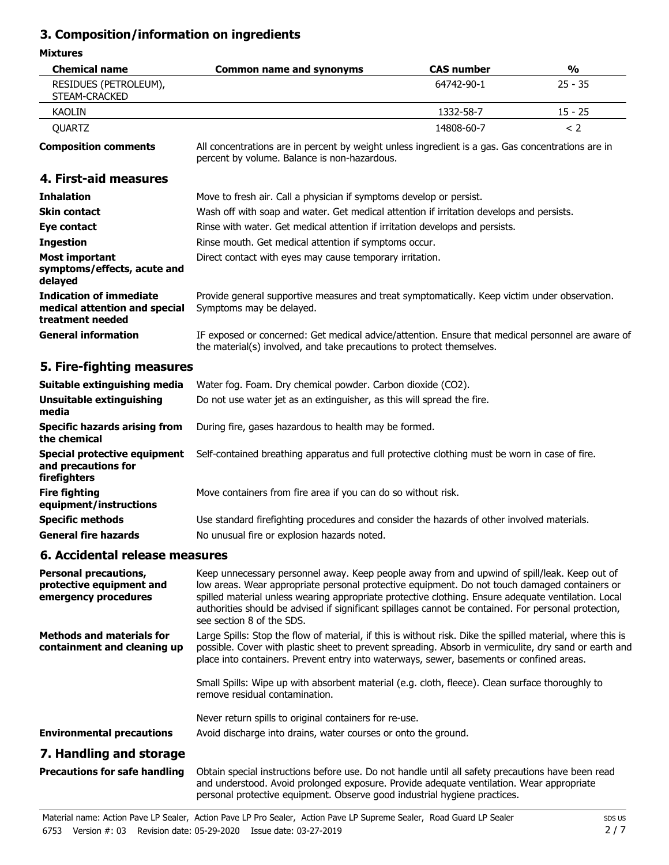# **3. Composition/information on ingredients**

#### **Mixtures**

| <b>Chemical name</b>                                                         | <b>Common name and synonyms</b>                                                                                                                                            | <b>CAS number</b> | $\frac{0}{0}$ |
|------------------------------------------------------------------------------|----------------------------------------------------------------------------------------------------------------------------------------------------------------------------|-------------------|---------------|
| RESIDUES (PETROLEUM),<br>STEAM-CRACKED                                       |                                                                                                                                                                            | 64742-90-1        | $25 - 35$     |
| <b>KAOLIN</b>                                                                |                                                                                                                                                                            | 1332-58-7         | $15 - 25$     |
| <b>QUARTZ</b>                                                                |                                                                                                                                                                            | 14808-60-7        | < 2           |
| <b>Composition comments</b>                                                  | All concentrations are in percent by weight unless ingredient is a gas. Gas concentrations are in<br>percent by volume. Balance is non-hazardous.                          |                   |               |
| 4. First-aid measures                                                        |                                                                                                                                                                            |                   |               |
| <b>Inhalation</b>                                                            | Move to fresh air. Call a physician if symptoms develop or persist.                                                                                                        |                   |               |
| <b>Skin contact</b>                                                          | Wash off with soap and water. Get medical attention if irritation develops and persists.                                                                                   |                   |               |
| Eye contact                                                                  | Rinse with water. Get medical attention if irritation develops and persists.                                                                                               |                   |               |
| <b>Ingestion</b>                                                             | Rinse mouth. Get medical attention if symptoms occur.                                                                                                                      |                   |               |
| Most important<br>symptoms/effects, acute and<br>delayed                     | Direct contact with eyes may cause temporary irritation.                                                                                                                   |                   |               |
| Indication of immediate<br>medical attention and special<br>treatment needed | Provide general supportive measures and treat symptomatically. Keep victim under observation.<br>Symptoms may be delayed.                                                  |                   |               |
| <b>General information</b>                                                   | IF exposed or concerned: Get medical advice/attention. Ensure that medical personnel are aware of<br>the material(s) involved, and take precautions to protect themselves. |                   |               |
| 5. Fire-fighting measures                                                    |                                                                                                                                                                            |                   |               |

| Suitable extinguishing media                                        | Water fog. Foam. Dry chemical powder. Carbon dioxide (CO2).                                                                               |
|---------------------------------------------------------------------|-------------------------------------------------------------------------------------------------------------------------------------------|
| Unsuitable extinguishing<br>media                                   | Do not use water jet as an extinguisher, as this will spread the fire.                                                                    |
| <b>Specific hazards arising from</b><br>the chemical                | During fire, gases hazardous to health may be formed.                                                                                     |
| Special protective equipment<br>and precautions for<br>firefighters | Self-contained breathing apparatus and full protective clothing must be worn in case of fire.                                             |
| <b>Fire fighting</b><br>equipment/instructions                      | Move containers from fire area if you can do so without risk.                                                                             |
| <b>Specific methods</b><br><b>General fire hazards</b>              | Use standard firefighting procedures and consider the hazards of other involved materials.<br>No unusual fire or explosion hazards noted. |

### **6. Accidental release measures**

| <b>Personal precautions,</b><br>protective equipment and<br>emergency procedures | Keep unnecessary personnel away. Keep people away from and upwind of spill/leak. Keep out of<br>low areas. Wear appropriate personal protective equipment. Do not touch damaged containers or<br>spilled material unless wearing appropriate protective clothing. Ensure adequate ventilation. Local<br>authorities should be advised if significant spillages cannot be contained. For personal protection,<br>see section 8 of the SDS. |
|----------------------------------------------------------------------------------|-------------------------------------------------------------------------------------------------------------------------------------------------------------------------------------------------------------------------------------------------------------------------------------------------------------------------------------------------------------------------------------------------------------------------------------------|
| <b>Methods and materials for</b><br>containment and cleaning up                  | Large Spills: Stop the flow of material, if this is without risk. Dike the spilled material, where this is<br>possible. Cover with plastic sheet to prevent spreading. Absorb in vermiculite, dry sand or earth and<br>place into containers. Prevent entry into waterways, sewer, basements or confined areas.                                                                                                                           |
|                                                                                  | Small Spills: Wipe up with absorbent material (e.g. cloth, fleece). Clean surface thoroughly to<br>remove residual contamination.                                                                                                                                                                                                                                                                                                         |
|                                                                                  | Never return spills to original containers for re-use.                                                                                                                                                                                                                                                                                                                                                                                    |
| <b>Environmental precautions</b>                                                 | Avoid discharge into drains, water courses or onto the ground.                                                                                                                                                                                                                                                                                                                                                                            |
| 7. Handling and storage                                                          |                                                                                                                                                                                                                                                                                                                                                                                                                                           |
| <b>Precautions for safe handling</b>                                             | Obtain special instructions before use. Do not handle until all safety precautions have been read<br>and understood. Avoid prolonged exposure. Provide adequate ventilation. Wear appropriate                                                                                                                                                                                                                                             |

personal protective equipment. Observe good industrial hygiene practices.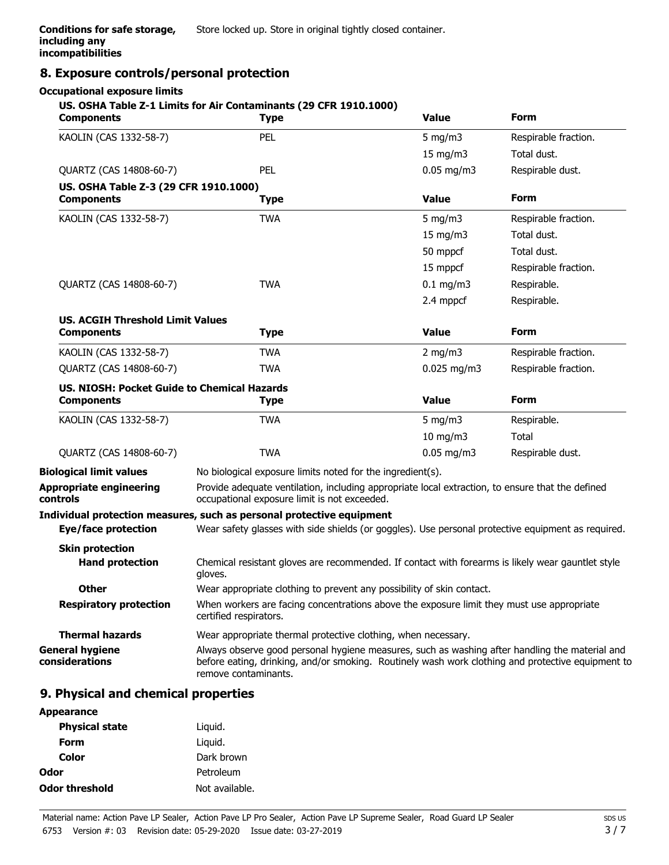## **8. Exposure controls/personal protection**

#### **Occupational exposure limits**

#### **US. OSHA Table Z-1 Limits for Air Contaminants (29 CFR 1910.1000)**

| <b>Components</b>                                                       | <b>Type</b>                                                                                                                                                                                                                 | <b>Value</b>  | <b>Form</b>          |
|-------------------------------------------------------------------------|-----------------------------------------------------------------------------------------------------------------------------------------------------------------------------------------------------------------------------|---------------|----------------------|
| KAOLIN (CAS 1332-58-7)                                                  | PEL                                                                                                                                                                                                                         | $5$ mg/m $3$  | Respirable fraction. |
|                                                                         |                                                                                                                                                                                                                             | 15 mg/m $3$   | Total dust.          |
| QUARTZ (CAS 14808-60-7)                                                 | PEL                                                                                                                                                                                                                         | $0.05$ mg/m3  | Respirable dust.     |
| US. OSHA Table Z-3 (29 CFR 1910.1000)<br><b>Components</b>              | <b>Type</b>                                                                                                                                                                                                                 | <b>Value</b>  | Form                 |
|                                                                         |                                                                                                                                                                                                                             |               |                      |
| KAOLIN (CAS 1332-58-7)                                                  | <b>TWA</b>                                                                                                                                                                                                                  | 5 mg/m $3$    | Respirable fraction. |
|                                                                         |                                                                                                                                                                                                                             | 15 mg/m $3$   | Total dust.          |
|                                                                         |                                                                                                                                                                                                                             | 50 mppcf      | Total dust.          |
|                                                                         |                                                                                                                                                                                                                             | 15 mppcf      | Respirable fraction. |
| QUARTZ (CAS 14808-60-7)                                                 | <b>TWA</b>                                                                                                                                                                                                                  | $0.1$ mg/m3   | Respirable.          |
|                                                                         |                                                                                                                                                                                                                             | 2.4 mppcf     | Respirable.          |
| <b>US. ACGIH Threshold Limit Values</b><br><b>Components</b>            | <b>Type</b>                                                                                                                                                                                                                 | <b>Value</b>  | Form                 |
| KAOLIN (CAS 1332-58-7)                                                  | <b>TWA</b>                                                                                                                                                                                                                  | 2 mg/m $3$    | Respirable fraction. |
| QUARTZ (CAS 14808-60-7)                                                 | <b>TWA</b>                                                                                                                                                                                                                  | $0.025$ mg/m3 | Respirable fraction. |
| <b>US. NIOSH: Pocket Guide to Chemical Hazards</b><br><b>Components</b> | <b>Type</b>                                                                                                                                                                                                                 | <b>Value</b>  | <b>Form</b>          |
| KAOLIN (CAS 1332-58-7)                                                  | <b>TWA</b>                                                                                                                                                                                                                  | 5 mg/m $3$    | Respirable.          |
|                                                                         |                                                                                                                                                                                                                             | $10$ mg/m $3$ | Total                |
| QUARTZ (CAS 14808-60-7)                                                 | <b>TWA</b>                                                                                                                                                                                                                  | $0.05$ mg/m3  | Respirable dust.     |
| <b>Biological limit values</b>                                          | No biological exposure limits noted for the ingredient(s).                                                                                                                                                                  |               |                      |
| <b>Appropriate engineering</b><br>controls                              | Provide adequate ventilation, including appropriate local extraction, to ensure that the defined<br>occupational exposure limit is not exceeded.                                                                            |               |                      |
|                                                                         | Individual protection measures, such as personal protective equipment                                                                                                                                                       |               |                      |
| Eye/face protection                                                     | Wear safety glasses with side shields (or goggles). Use personal protective equipment as required.                                                                                                                          |               |                      |
| <b>Skin protection</b><br><b>Hand protection</b>                        | Chemical resistant gloves are recommended. If contact with forearms is likely wear gauntlet style<br>gloves.                                                                                                                |               |                      |
| <b>Other</b>                                                            | Wear appropriate clothing to prevent any possibility of skin contact.                                                                                                                                                       |               |                      |
| <b>Respiratory protection</b>                                           | When workers are facing concentrations above the exposure limit they must use appropriate<br>certified respirators.                                                                                                         |               |                      |
| <b>Thermal hazards</b>                                                  | Wear appropriate thermal protective clothing, when necessary.                                                                                                                                                               |               |                      |
| <b>General hygiene</b><br>considerations                                | Always observe good personal hygiene measures, such as washing after handling the material and<br>before eating, drinking, and/or smoking. Routinely wash work clothing and protective equipment to<br>remove contaminants. |               |                      |
|                                                                         |                                                                                                                                                                                                                             |               |                      |

#### **9. Physical and chemical properties**

| <b>Appearance</b>     |                |
|-----------------------|----------------|
| <b>Physical state</b> | Liquid.        |
| Form                  | Liguid.        |
| Color                 | Dark brown     |
| Odor                  | Petroleum      |
| Odor threshold        | Not available. |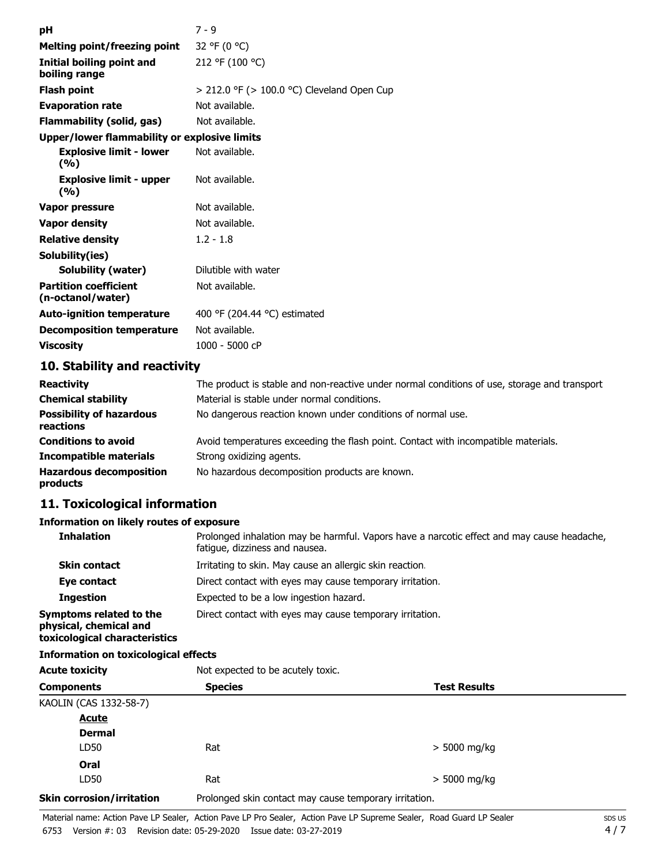| рH                                                | $7 - 9$                                         |
|---------------------------------------------------|-------------------------------------------------|
| <b>Melting point/freezing point</b>               | 32 °F (0 °C)                                    |
| Initial boiling point and<br>boiling range        | 212 °F (100 °C)                                 |
| <b>Flash point</b>                                | $>$ 212.0 °F ( $>$ 100.0 °C) Cleveland Open Cup |
| <b>Evaporation rate</b>                           | Not available.                                  |
| Flammability (solid, gas)                         | Not available.                                  |
| Upper/lower flammability or explosive limits      |                                                 |
| <b>Explosive limit - lower</b><br>(%)             | Not available.                                  |
| <b>Explosive limit - upper</b><br>(%)             | Not available.                                  |
| Vapor pressure                                    | Not available.                                  |
| <b>Vapor density</b>                              | Not available.                                  |
| <b>Relative density</b>                           | $1.2 - 1.8$                                     |
| Solubility(ies)                                   |                                                 |
| <b>Solubility (water)</b>                         | Dilutible with water                            |
| <b>Partition coefficient</b><br>(n-octanol/water) | Not available.                                  |
| <b>Auto-ignition temperature</b>                  | 400 °F (204.44 °C) estimated                    |
| <b>Decomposition temperature</b>                  | Not available.                                  |
| <b>Viscosity</b>                                  | 1000 - 5000 cP                                  |
| 10. Stability and reactivity                      |                                                 |

#### **10. Stability and reactivity**

| <b>Reactivity</b>                            | The product is stable and non-reactive under normal conditions of use, storage and transport |
|----------------------------------------------|----------------------------------------------------------------------------------------------|
| <b>Chemical stability</b>                    | Material is stable under normal conditions.                                                  |
| <b>Possibility of hazardous</b><br>reactions | No dangerous reaction known under conditions of normal use.                                  |
| <b>Conditions to avoid</b>                   | Avoid temperatures exceeding the flash point. Contact with incompatible materials.           |
| <b>Incompatible materials</b>                | Strong oxidizing agents.                                                                     |
| <b>Hazardous decomposition</b><br>products   | No hazardous decomposition products are known.                                               |

# **11. Toxicological information**

## **Information on likely routes of exposure**

| <b>Inhalation</b>                                                                  | Prolonged inhalation may be harmful. Vapors have a narcotic effect and may cause headache,<br>fatique, dizziness and nausea. |
|------------------------------------------------------------------------------------|------------------------------------------------------------------------------------------------------------------------------|
| <b>Skin contact</b>                                                                | Irritating to skin. May cause an allergic skin reaction.                                                                     |
| Eye contact                                                                        | Direct contact with eyes may cause temporary irritation.                                                                     |
| <b>Ingestion</b>                                                                   | Expected to be a low ingestion hazard.                                                                                       |
| Symptoms related to the<br>physical, chemical and<br>toxicological characteristics | Direct contact with eyes may cause temporary irritation.                                                                     |

#### **Information on toxicological effects**

| <b>Acute toxicity</b>            | Not expected to be acutely toxic.                      |                     |  |
|----------------------------------|--------------------------------------------------------|---------------------|--|
| <b>Components</b>                | <b>Species</b>                                         | <b>Test Results</b> |  |
| KAOLIN (CAS 1332-58-7)           |                                                        |                     |  |
| <b>Acute</b>                     |                                                        |                     |  |
| <b>Dermal</b>                    |                                                        |                     |  |
| LD50                             | Rat                                                    | $>$ 5000 mg/kg      |  |
| Oral                             |                                                        |                     |  |
| LD50                             | Rat                                                    | $>$ 5000 mg/kg      |  |
| <b>Skin corrosion/irritation</b> | Prolonged skin contact may cause temporary irritation. |                     |  |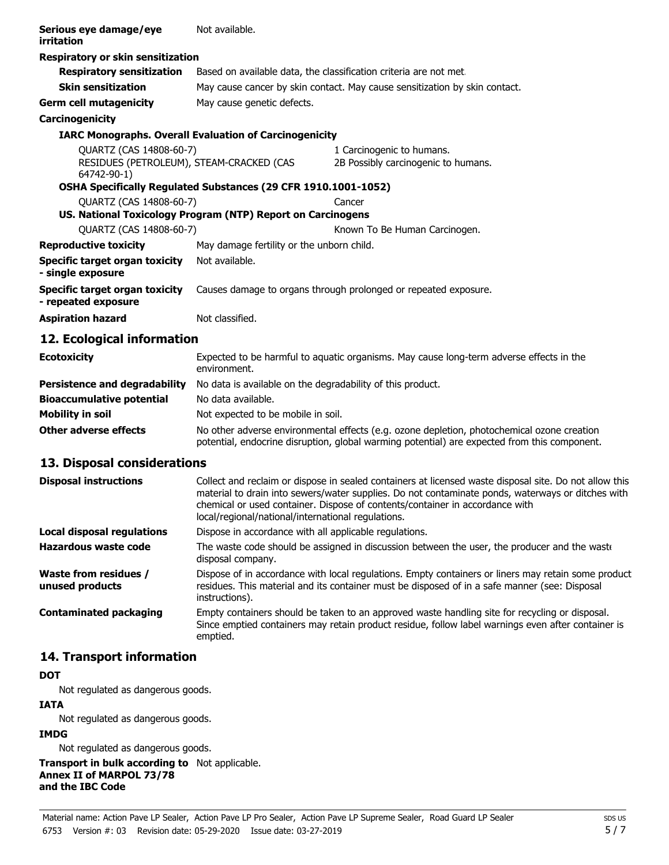| Serious eye damage/eye<br>irritation                          | Not available.                                                                                          |                                                                                                                                                                                            |  |  |
|---------------------------------------------------------------|---------------------------------------------------------------------------------------------------------|--------------------------------------------------------------------------------------------------------------------------------------------------------------------------------------------|--|--|
| <b>Respiratory or skin sensitization</b>                      |                                                                                                         |                                                                                                                                                                                            |  |  |
| <b>Respiratory sensitization</b>                              | Based on available data, the classification criteria are not met.                                       |                                                                                                                                                                                            |  |  |
| <b>Skin sensitization</b>                                     | May cause cancer by skin contact. May cause sensitization by skin contact.                              |                                                                                                                                                                                            |  |  |
| <b>Germ cell mutagenicity</b>                                 | May cause genetic defects.                                                                              |                                                                                                                                                                                            |  |  |
| Carcinogenicity                                               |                                                                                                         |                                                                                                                                                                                            |  |  |
| <b>IARC Monographs. Overall Evaluation of Carcinogenicity</b> |                                                                                                         |                                                                                                                                                                                            |  |  |
| QUARTZ (CAS 14808-60-7)                                       |                                                                                                         | 1 Carcinogenic to humans.                                                                                                                                                                  |  |  |
| RESIDUES (PETROLEUM), STEAM-CRACKED (CAS<br>64742-90-1)       |                                                                                                         | 2B Possibly carcinogenic to humans.                                                                                                                                                        |  |  |
|                                                               | OSHA Specifically Regulated Substances (29 CFR 1910.1001-1052)                                          |                                                                                                                                                                                            |  |  |
| QUARTZ (CAS 14808-60-7)<br>Cancer                             |                                                                                                         |                                                                                                                                                                                            |  |  |
|                                                               | US. National Toxicology Program (NTP) Report on Carcinogens                                             |                                                                                                                                                                                            |  |  |
| QUARTZ (CAS 14808-60-7)                                       |                                                                                                         | Known To Be Human Carcinogen.                                                                                                                                                              |  |  |
| <b>Reproductive toxicity</b>                                  | May damage fertility or the unborn child.                                                               |                                                                                                                                                                                            |  |  |
| <b>Specific target organ toxicity</b><br>- single exposure    | Not available.                                                                                          |                                                                                                                                                                                            |  |  |
| <b>Specific target organ toxicity</b><br>- repeated exposure  | Causes damage to organs through prolonged or repeated exposure.                                         |                                                                                                                                                                                            |  |  |
| <b>Aspiration hazard</b>                                      | Not classified.                                                                                         |                                                                                                                                                                                            |  |  |
| 12. Ecological information                                    |                                                                                                         |                                                                                                                                                                                            |  |  |
| <b>Ecotoxicity</b>                                            | Expected to be harmful to aquatic organisms. May cause long-term adverse effects in the<br>environment. |                                                                                                                                                                                            |  |  |
| <b>Persistence and degradability</b>                          | No data is available on the degradability of this product.                                              |                                                                                                                                                                                            |  |  |
| <b>Bioaccumulative potential</b>                              | No data available.                                                                                      |                                                                                                                                                                                            |  |  |
| <b>Mobility in soil</b>                                       | Not expected to be mobile in soil.                                                                      |                                                                                                                                                                                            |  |  |
| Other adverse effects                                         |                                                                                                         | No other adverse environmental effects (e.g. ozone depletion, photochemical ozone creation<br>potential, endocrine disruption, global warming potential) are expected from this component. |  |  |
| 13. Disposal considerations                                   |                                                                                                         |                                                                                                                                                                                            |  |  |

| <b>Disposal instructions</b>                    | Collect and reclaim or dispose in sealed containers at licensed waste disposal site. Do not allow this<br>material to drain into sewers/water supplies. Do not contaminate ponds, waterways or ditches with<br>chemical or used container. Dispose of contents/container in accordance with<br>local/regional/national/international regulations. |
|-------------------------------------------------|---------------------------------------------------------------------------------------------------------------------------------------------------------------------------------------------------------------------------------------------------------------------------------------------------------------------------------------------------|
| Local disposal regulations                      | Dispose in accordance with all applicable regulations.                                                                                                                                                                                                                                                                                            |
| Hazardous waste code                            | The waste code should be assigned in discussion between the user, the producer and the waste<br>disposal company.                                                                                                                                                                                                                                 |
| <b>Waste from residues /</b><br>unused products | Dispose of in accordance with local regulations. Empty containers or liners may retain some product<br>residues. This material and its container must be disposed of in a safe manner (see: Disposal<br>instructions).                                                                                                                            |
| Contaminated packaging                          | Empty containers should be taken to an approved waste handling site for recycling or disposal.<br>Since emptied containers may retain product residue, follow label warnings even after container is<br>emptied.                                                                                                                                  |

# **14. Transport information**

#### **DOT**

Not regulated as dangerous goods.

#### **IATA**

Not regulated as dangerous goods.

#### **IMDG**

Not regulated as dangerous goods.

**Transport in bulk according to** Not applicable. **Annex II of MARPOL 73/78 and the IBC Code**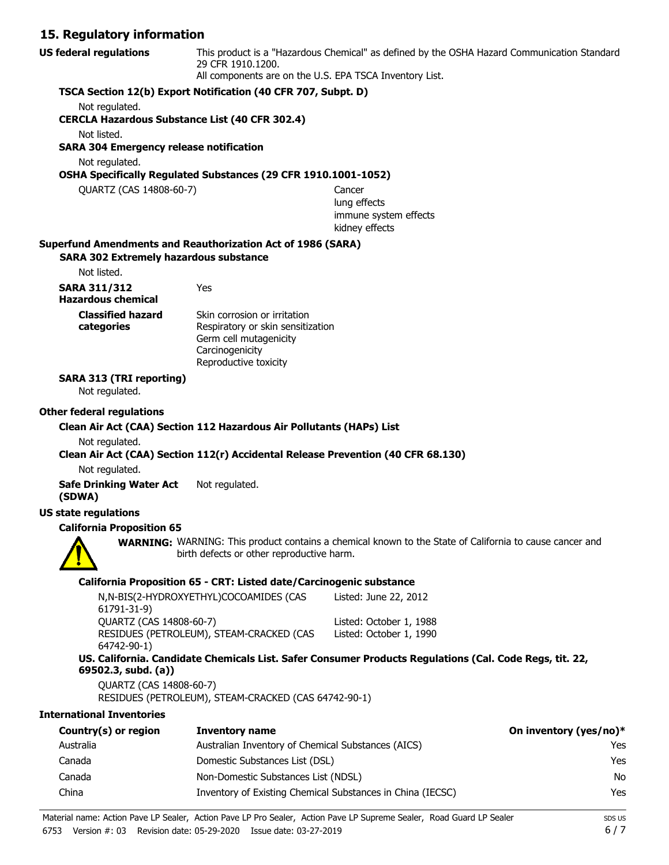## **15. Regulatory information**

| 13. Regulatory milomiation                                         |                                                                                                                                                                             |                                                                                                                |     |
|--------------------------------------------------------------------|-----------------------------------------------------------------------------------------------------------------------------------------------------------------------------|----------------------------------------------------------------------------------------------------------------|-----|
| <b>US federal regulations</b>                                      | This product is a "Hazardous Chemical" as defined by the OSHA Hazard Communication Standard<br>29 CFR 1910.1200.<br>All components are on the U.S. EPA TSCA Inventory List. |                                                                                                                |     |
|                                                                    | TSCA Section 12(b) Export Notification (40 CFR 707, Subpt. D)                                                                                                               |                                                                                                                |     |
| Not regulated.                                                     |                                                                                                                                                                             |                                                                                                                |     |
| <b>CERCLA Hazardous Substance List (40 CFR 302.4)</b>              |                                                                                                                                                                             |                                                                                                                |     |
| Not listed.<br><b>SARA 304 Emergency release notification</b>      |                                                                                                                                                                             |                                                                                                                |     |
| Not regulated.                                                     |                                                                                                                                                                             |                                                                                                                |     |
|                                                                    | OSHA Specifically Regulated Substances (29 CFR 1910.1001-1052)                                                                                                              |                                                                                                                |     |
| QUARTZ (CAS 14808-60-7)                                            |                                                                                                                                                                             | Cancer                                                                                                         |     |
|                                                                    |                                                                                                                                                                             | lung effects<br>immune system effects                                                                          |     |
|                                                                    |                                                                                                                                                                             | kidney effects                                                                                                 |     |
| <b>Superfund Amendments and Reauthorization Act of 1986 (SARA)</b> |                                                                                                                                                                             |                                                                                                                |     |
| <b>SARA 302 Extremely hazardous substance</b><br>Not listed.       |                                                                                                                                                                             |                                                                                                                |     |
|                                                                    | Yes                                                                                                                                                                         |                                                                                                                |     |
| <b>SARA 311/312</b><br><b>Hazardous chemical</b>                   |                                                                                                                                                                             |                                                                                                                |     |
| <b>Classified hazard</b>                                           | Skin corrosion or irritation                                                                                                                                                |                                                                                                                |     |
| categories                                                         | Respiratory or skin sensitization                                                                                                                                           |                                                                                                                |     |
|                                                                    | Germ cell mutagenicity                                                                                                                                                      |                                                                                                                |     |
|                                                                    | Carcinogenicity<br>Reproductive toxicity                                                                                                                                    |                                                                                                                |     |
| <b>SARA 313 (TRI reporting)</b>                                    |                                                                                                                                                                             |                                                                                                                |     |
| Not regulated.                                                     |                                                                                                                                                                             |                                                                                                                |     |
| <b>Other federal regulations</b>                                   |                                                                                                                                                                             |                                                                                                                |     |
|                                                                    | Clean Air Act (CAA) Section 112 Hazardous Air Pollutants (HAPs) List                                                                                                        |                                                                                                                |     |
| Not regulated.                                                     |                                                                                                                                                                             |                                                                                                                |     |
|                                                                    |                                                                                                                                                                             | Clean Air Act (CAA) Section 112(r) Accidental Release Prevention (40 CFR 68.130)                               |     |
| Not regulated.                                                     |                                                                                                                                                                             |                                                                                                                |     |
| <b>Safe Drinking Water Act</b><br>(SDWA)                           | Not regulated.                                                                                                                                                              |                                                                                                                |     |
| <b>US state regulations</b>                                        |                                                                                                                                                                             |                                                                                                                |     |
| <b>California Proposition 65</b>                                   |                                                                                                                                                                             |                                                                                                                |     |
|                                                                    | birth defects or other reproductive harm.                                                                                                                                   | <b>WARNING:</b> WARNING: This product contains a chemical known to the State of California to cause cancer and |     |
|                                                                    | California Proposition 65 - CRT: Listed date/Carcinogenic substance                                                                                                         |                                                                                                                |     |
| 61791-31-9)                                                        | N,N-BIS(2-HYDROXYETHYL)COCOAMIDES (CAS                                                                                                                                      | Listed: June 22, 2012                                                                                          |     |
| QUARTZ (CAS 14808-60-7)                                            |                                                                                                                                                                             | Listed: October 1, 1988                                                                                        |     |
| 64742-90-1)                                                        | RESIDUES (PETROLEUM), STEAM-CRACKED (CAS                                                                                                                                    | Listed: October 1, 1990                                                                                        |     |
| 69502.3, subd. (a))                                                |                                                                                                                                                                             | US. California. Candidate Chemicals List. Safer Consumer Products Regulations (Cal. Code Regs, tit. 22,        |     |
| QUARTZ (CAS 14808-60-7)                                            | RESIDUES (PETROLEUM), STEAM-CRACKED (CAS 64742-90-1)                                                                                                                        |                                                                                                                |     |
| <b>International Inventories</b>                                   |                                                                                                                                                                             |                                                                                                                |     |
| Country(s) or region                                               | <b>Inventory name</b>                                                                                                                                                       | On inventory (yes/no)*                                                                                         |     |
| Australia                                                          | Australian Inventory of Chemical Substances (AICS)                                                                                                                          |                                                                                                                | Yes |
| Canada                                                             | Domestic Substances List (DSL)                                                                                                                                              |                                                                                                                | Yes |
| Canada                                                             | Non-Domestic Substances List (NDSL)                                                                                                                                         |                                                                                                                | No  |
| China                                                              |                                                                                                                                                                             | Inventory of Existing Chemical Substances in China (IECSC)                                                     | Yes |
|                                                                    |                                                                                                                                                                             |                                                                                                                |     |